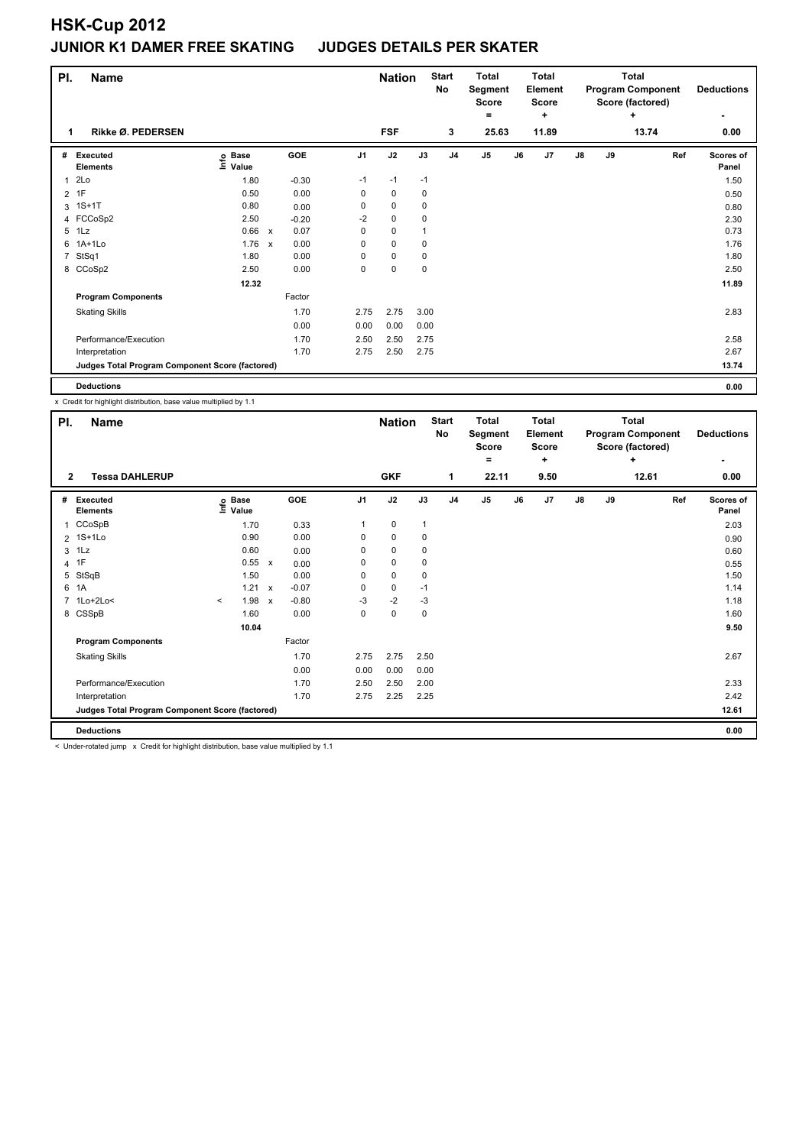## **HSK-Cup 2012 JUNIOR K1 DAMER FREE SKATING JUDGES DETAILS PER SKATER**

| PI.          | <b>Name</b>                                     |                            |              |         |                | <b>Nation</b> |      | <b>Start</b><br>No | Total<br>Segment<br><b>Score</b> |    | Total<br>Element<br><b>Score</b> |               |    | Total<br><b>Program Component</b><br>Score (factored) | <b>Deductions</b>  |
|--------------|-------------------------------------------------|----------------------------|--------------|---------|----------------|---------------|------|--------------------|----------------------------------|----|----------------------------------|---------------|----|-------------------------------------------------------|--------------------|
|              |                                                 |                            |              |         |                |               |      |                    | =                                |    | ٠                                |               |    | ÷                                                     | ۰                  |
| 1            | Rikke Ø. PEDERSEN                               |                            |              |         |                | <b>FSF</b>    |      | 3                  | 25.63                            |    | 11.89                            |               |    | 13.74                                                 | 0.00               |
| #            | Executed<br><b>Elements</b>                     | e Base<br>⊆ Value<br>Value |              | GOE     | J <sub>1</sub> | J2            | J3   | J <sub>4</sub>     | J5                               | J6 | J <sub>7</sub>                   | $\mathsf{J}8$ | J9 | Ref                                                   | Scores of<br>Panel |
| $\mathbf{1}$ | 2Lo                                             | 1.80                       |              | $-0.30$ | $-1$           | $-1$          | $-1$ |                    |                                  |    |                                  |               |    |                                                       | 1.50               |
|              | $2$ 1F                                          | 0.50                       |              | 0.00    | $\pmb{0}$      | $\pmb{0}$     | 0    |                    |                                  |    |                                  |               |    |                                                       | 0.50               |
|              | 3 1S+1T                                         | 0.80                       |              | 0.00    | 0              | 0             | 0    |                    |                                  |    |                                  |               |    |                                                       | 0.80               |
|              | 4 FCCoSp2                                       | 2.50                       |              | $-0.20$ | $-2$           | $\pmb{0}$     | 0    |                    |                                  |    |                                  |               |    |                                                       | 2.30               |
|              | 5 1Lz                                           | 0.66                       | $\mathsf{x}$ | 0.07    | 0              | 0             |      |                    |                                  |    |                                  |               |    |                                                       | 0.73               |
| 6            | $1A+1L0$                                        | 1.76                       | $\mathsf{x}$ | 0.00    | 0              | $\pmb{0}$     | 0    |                    |                                  |    |                                  |               |    |                                                       | 1.76               |
|              | 7 StSq1                                         | 1.80                       |              | 0.00    | 0              | 0             | 0    |                    |                                  |    |                                  |               |    |                                                       | 1.80               |
|              | 8 CCoSp2                                        | 2.50                       |              | 0.00    | 0              | $\mathbf 0$   | 0    |                    |                                  |    |                                  |               |    |                                                       | 2.50               |
|              |                                                 | 12.32                      |              |         |                |               |      |                    |                                  |    |                                  |               |    |                                                       | 11.89              |
|              | <b>Program Components</b>                       |                            |              | Factor  |                |               |      |                    |                                  |    |                                  |               |    |                                                       |                    |
|              | <b>Skating Skills</b>                           |                            |              | 1.70    | 2.75           | 2.75          | 3.00 |                    |                                  |    |                                  |               |    |                                                       | 2.83               |
|              |                                                 |                            |              | 0.00    | 0.00           | 0.00          | 0.00 |                    |                                  |    |                                  |               |    |                                                       |                    |
|              | Performance/Execution                           |                            |              | 1.70    | 2.50           | 2.50          | 2.75 |                    |                                  |    |                                  |               |    |                                                       | 2.58               |
|              | Interpretation                                  |                            |              | 1.70    | 2.75           | 2.50          | 2.75 |                    |                                  |    |                                  |               |    |                                                       | 2.67               |
|              | Judges Total Program Component Score (factored) |                            |              |         |                |               |      |                    |                                  |    |                                  |               |    |                                                       | 13.74              |
|              | <b>Deductions</b>                               |                            |              |         |                |               |      |                    |                                  |    |                                  |               |    |                                                       | 0.00               |

x Credit for highlight distribution, base value multiplied by 1.1

| PI.<br><b>Name</b> |                                                 |         |                   |                           |            |                | <b>Nation</b> |              | <b>Start</b><br>No | <b>Total</b><br>Segment<br><b>Score</b><br>۰ |    | <b>Total</b><br>Element<br><b>Score</b><br>٠ |  |               | <b>Total</b><br><b>Program Component</b><br>Score (factored) | <b>Deductions</b> |                           |
|--------------------|-------------------------------------------------|---------|-------------------|---------------------------|------------|----------------|---------------|--------------|--------------------|----------------------------------------------|----|----------------------------------------------|--|---------------|--------------------------------------------------------------|-------------------|---------------------------|
| $\overline{2}$     | <b>Tessa DAHLERUP</b>                           |         |                   |                           |            |                | <b>GKF</b>    |              | 1                  | 22.11                                        |    | 9.50                                         |  |               |                                                              | ÷<br>12.61        | 0.00                      |
| #                  | <b>Executed</b><br><b>Elements</b>              |         | e Base<br>⊆ Value |                           | <b>GOE</b> | J <sub>1</sub> | J2            | J3           | J <sub>4</sub>     | J5                                           | J6 | J7                                           |  | $\mathsf{J}8$ | J9                                                           | Ref               | <b>Scores of</b><br>Panel |
| 1                  | CCoSpB                                          |         | 1.70              |                           | 0.33       | 1              | $\mathbf 0$   | $\mathbf{1}$ |                    |                                              |    |                                              |  |               |                                                              |                   | 2.03                      |
|                    | 2 1S+1Lo                                        |         | 0.90              |                           | 0.00       | $\Omega$       | $\mathbf 0$   | 0            |                    |                                              |    |                                              |  |               |                                                              |                   | 0.90                      |
|                    | $3$ 1 Lz                                        |         | 0.60              |                           | 0.00       | 0              | $\mathbf 0$   | $\mathbf 0$  |                    |                                              |    |                                              |  |               |                                                              |                   | 0.60                      |
|                    | 4 1F                                            |         | 0.55              | $\mathsf{x}$              | 0.00       | 0              | $\mathbf 0$   | 0            |                    |                                              |    |                                              |  |               |                                                              |                   | 0.55                      |
| 5                  | StSqB                                           |         | 1.50              |                           | 0.00       | 0              | $\mathbf 0$   | 0            |                    |                                              |    |                                              |  |               |                                                              |                   | 1.50                      |
|                    | 6 1A                                            |         | 1.21              | $\boldsymbol{\mathsf{x}}$ | $-0.07$    | 0              | $\mathbf 0$   | $-1$         |                    |                                              |    |                                              |  |               |                                                              |                   | 1.14                      |
|                    | 7 1Lo+2Lo<                                      | $\prec$ | 1.98              | $\boldsymbol{\mathsf{x}}$ | $-0.80$    | -3             | $-2$          | -3           |                    |                                              |    |                                              |  |               |                                                              |                   | 1.18                      |
|                    | 8 CSSpB                                         |         | 1.60              |                           | 0.00       | 0              | $\mathbf 0$   | 0            |                    |                                              |    |                                              |  |               |                                                              |                   | 1.60                      |
|                    |                                                 |         | 10.04             |                           |            |                |               |              |                    |                                              |    |                                              |  |               |                                                              |                   | 9.50                      |
|                    | <b>Program Components</b>                       |         |                   |                           | Factor     |                |               |              |                    |                                              |    |                                              |  |               |                                                              |                   |                           |
|                    | <b>Skating Skills</b>                           |         |                   |                           | 1.70       | 2.75           | 2.75          | 2.50         |                    |                                              |    |                                              |  |               |                                                              |                   | 2.67                      |
|                    |                                                 |         |                   |                           | 0.00       | 0.00           | 0.00          | 0.00         |                    |                                              |    |                                              |  |               |                                                              |                   |                           |
|                    | Performance/Execution                           |         |                   |                           | 1.70       | 2.50           | 2.50          | 2.00         |                    |                                              |    |                                              |  |               |                                                              |                   | 2.33                      |
|                    | Interpretation                                  |         |                   |                           | 1.70       | 2.75           | 2.25          | 2.25         |                    |                                              |    |                                              |  |               |                                                              |                   | 2.42                      |
|                    | Judges Total Program Component Score (factored) |         |                   |                           |            |                |               |              |                    |                                              |    |                                              |  |               |                                                              |                   | 12.61                     |
|                    | <b>Deductions</b>                               |         |                   |                           |            |                |               |              |                    |                                              |    |                                              |  |               |                                                              |                   | 0.00                      |

< Under-rotated jump x Credit for highlight distribution, base value multiplied by 1.1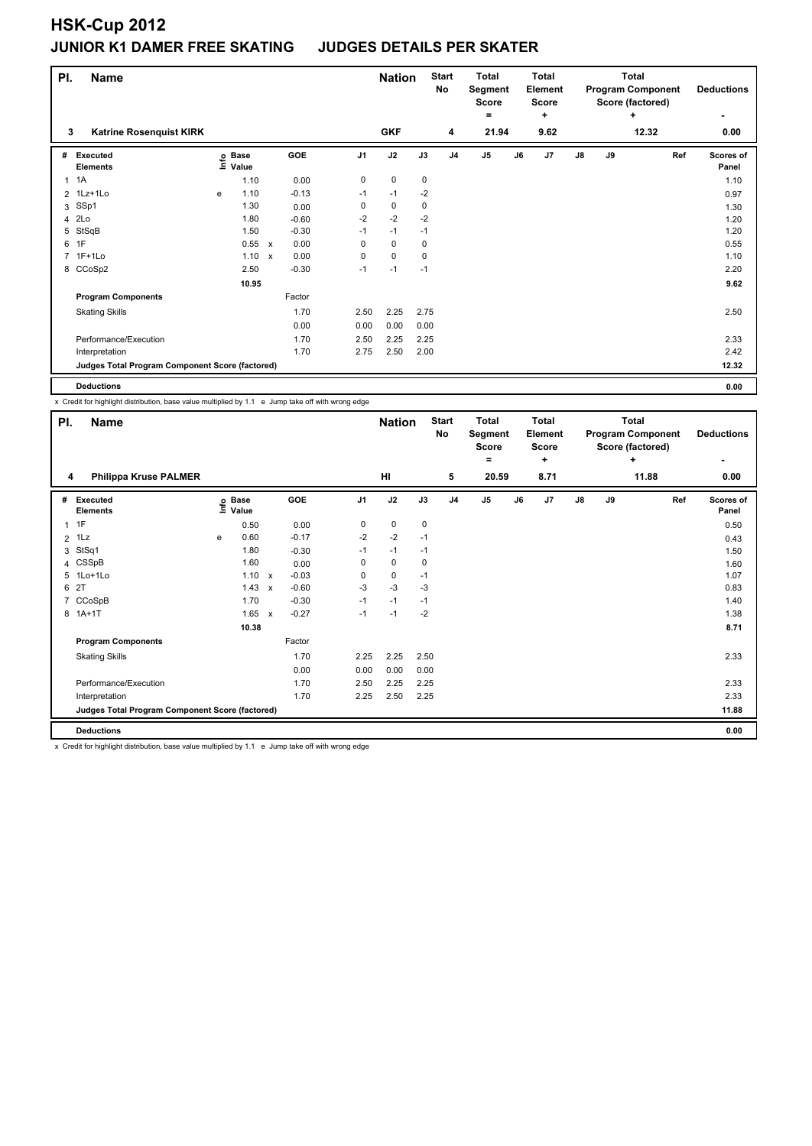## **HSK-Cup 2012 JUNIOR K1 DAMER FREE SKATING JUDGES DETAILS PER SKATER**

| PI.            | Name                                            |                              |       |                           |         |                |             | <b>Nation</b> | <b>Start</b><br>No | <b>Total</b><br>Segment<br><b>Score</b> |    | Total<br>Element<br><b>Score</b> |               | <b>Total</b><br><b>Program Component</b><br>Score (factored) | <b>Deductions</b> |                    |
|----------------|-------------------------------------------------|------------------------------|-------|---------------------------|---------|----------------|-------------|---------------|--------------------|-----------------------------------------|----|----------------------------------|---------------|--------------------------------------------------------------|-------------------|--------------------|
| 3              | <b>Katrine Rosenquist KIRK</b>                  |                              |       |                           |         |                | <b>GKF</b>  |               | 4                  | ۰<br>21.94                              |    | ÷<br>9.62                        |               |                                                              | ÷<br>12.32        | ٠<br>0.00          |
|                |                                                 |                              |       |                           |         |                |             |               |                    |                                         |    |                                  |               |                                                              |                   |                    |
| #              | Executed<br><b>Elements</b>                     | <b>Base</b><br>lnfo<br>Value |       |                           | GOE     | J <sub>1</sub> | J2          | J3            | J <sub>4</sub>     | J <sub>5</sub>                          | J6 | J <sub>7</sub>                   | $\mathsf{J}8$ | J9                                                           | Ref               | Scores of<br>Panel |
| $\mathbf{1}$   | 1A                                              |                              | 1.10  |                           | 0.00    | 0              | $\mathbf 0$ | $\mathbf 0$   |                    |                                         |    |                                  |               |                                                              |                   | 1.10               |
| $\overline{2}$ | 1Lz+1Lo                                         | e                            | 1.10  |                           | $-0.13$ | $-1$           | $-1$        | $-2$          |                    |                                         |    |                                  |               |                                                              |                   | 0.97               |
| 3              | SSp1                                            |                              | 1.30  |                           | 0.00    | 0              | 0           | 0             |                    |                                         |    |                                  |               |                                                              |                   | 1.30               |
| 4              | 2Lo                                             |                              | 1.80  |                           | $-0.60$ | $-2$           | $-2$        | $-2$          |                    |                                         |    |                                  |               |                                                              |                   | 1.20               |
| 5              | StSqB                                           |                              | 1.50  |                           | $-0.30$ | $-1$           | $-1$        | $-1$          |                    |                                         |    |                                  |               |                                                              |                   | 1.20               |
| 6              | 1F                                              |                              | 0.55  | $\boldsymbol{\mathsf{x}}$ | 0.00    | $\Omega$       | $\mathbf 0$ | 0             |                    |                                         |    |                                  |               |                                                              |                   | 0.55               |
| $\overline{7}$ | $1F+1Lo$                                        |                              | 1.10  | $\mathsf{x}$              | 0.00    | 0              | $\mathbf 0$ | 0             |                    |                                         |    |                                  |               |                                                              |                   | 1.10               |
|                | 8 CCoSp2                                        |                              | 2.50  |                           | $-0.30$ | $-1$           | $-1$        | $-1$          |                    |                                         |    |                                  |               |                                                              |                   | 2.20               |
|                |                                                 |                              | 10.95 |                           |         |                |             |               |                    |                                         |    |                                  |               |                                                              |                   | 9.62               |
|                | <b>Program Components</b>                       |                              |       |                           | Factor  |                |             |               |                    |                                         |    |                                  |               |                                                              |                   |                    |
|                | <b>Skating Skills</b>                           |                              |       |                           | 1.70    | 2.50           | 2.25        | 2.75          |                    |                                         |    |                                  |               |                                                              |                   | 2.50               |
|                |                                                 |                              |       |                           | 0.00    | 0.00           | 0.00        | 0.00          |                    |                                         |    |                                  |               |                                                              |                   |                    |
|                | Performance/Execution                           |                              |       |                           | 1.70    | 2.50           | 2.25        | 2.25          |                    |                                         |    |                                  |               |                                                              |                   | 2.33               |
|                | Interpretation                                  |                              |       |                           | 1.70    | 2.75           | 2.50        | 2.00          |                    |                                         |    |                                  |               |                                                              |                   | 2.42               |
|                | Judges Total Program Component Score (factored) |                              |       |                           |         |                |             |               |                    |                                         |    |                                  |               |                                                              |                   | 12.32              |
|                | <b>Deductions</b>                               |                              |       |                           |         |                |             |               |                    |                                         |    |                                  |               |                                                              |                   | 0.00               |

x Credit for highlight distribution, base value multiplied by 1.1 e Jump take off with wrong edge

| PI.            | <b>Name</b>                                     |   |                   |                           | <b>Nation</b> |                | <b>Start</b><br>No | <b>Total</b><br>Segment<br><b>Score</b><br>۰ |                | <b>Total</b><br>Element<br><b>Score</b><br>+ |    | <b>Total</b><br><b>Program Component</b><br>Score (factored) | <b>Deductions</b> |    |            |                    |
|----------------|-------------------------------------------------|---|-------------------|---------------------------|---------------|----------------|--------------------|----------------------------------------------|----------------|----------------------------------------------|----|--------------------------------------------------------------|-------------------|----|------------|--------------------|
| 4              | <b>Philippa Kruse PALMER</b>                    |   |                   |                           |               |                | HI                 |                                              | 5              | 20.59                                        |    | 8.71                                                         |                   |    | ÷<br>11.88 | 0.00               |
| #              | <b>Executed</b><br><b>Elements</b>              |   | e Base<br>⊑ Value |                           | <b>GOE</b>    | J <sub>1</sub> | J2                 | J3                                           | J <sub>4</sub> | J <sub>5</sub>                               | J6 | J7                                                           | $\mathsf{J}8$     | J9 | Ref        | Scores of<br>Panel |
| $\mathbf{1}$   | 1F                                              |   | 0.50              |                           | 0.00          | 0              | 0                  | 0                                            |                |                                              |    |                                                              |                   |    |            | 0.50               |
| $\overline{2}$ | 1Lz                                             | e | 0.60              |                           | $-0.17$       | $-2$           | $-2$               | $-1$                                         |                |                                              |    |                                                              |                   |    |            | 0.43               |
| 3              | StSq1                                           |   | 1.80              |                           | $-0.30$       | $-1$           | $-1$               | $-1$                                         |                |                                              |    |                                                              |                   |    |            | 1.50               |
|                | 4 CSSpB                                         |   | 1.60              |                           | 0.00          | 0              | $\mathbf 0$        | 0                                            |                |                                              |    |                                                              |                   |    |            | 1.60               |
|                | 5 1Lo+1Lo                                       |   | 1.10              | $\boldsymbol{\mathsf{x}}$ | $-0.03$       | 0              | $\mathbf 0$        | $-1$                                         |                |                                              |    |                                                              |                   |    |            | 1.07               |
| 6              | 2T                                              |   | 1.43              | $\boldsymbol{\mathsf{x}}$ | $-0.60$       | $-3$           | $-3$               | $-3$                                         |                |                                              |    |                                                              |                   |    |            | 0.83               |
| $\overline{7}$ | CCoSpB                                          |   | 1.70              |                           | $-0.30$       | $-1$           | $-1$               | $-1$                                         |                |                                              |    |                                                              |                   |    |            | 1.40               |
|                | 8 1A+1T                                         |   | 1.65              | $\boldsymbol{\mathsf{x}}$ | $-0.27$       | $-1$           | $-1$               | $-2$                                         |                |                                              |    |                                                              |                   |    |            | 1.38               |
|                |                                                 |   | 10.38             |                           |               |                |                    |                                              |                |                                              |    |                                                              |                   |    |            | 8.71               |
|                | <b>Program Components</b>                       |   |                   |                           | Factor        |                |                    |                                              |                |                                              |    |                                                              |                   |    |            |                    |
|                | <b>Skating Skills</b>                           |   |                   |                           | 1.70          | 2.25           | 2.25               | 2.50                                         |                |                                              |    |                                                              |                   |    |            | 2.33               |
|                |                                                 |   |                   |                           | 0.00          | 0.00           | 0.00               | 0.00                                         |                |                                              |    |                                                              |                   |    |            |                    |
|                | Performance/Execution                           |   |                   |                           | 1.70          | 2.50           | 2.25               | 2.25                                         |                |                                              |    |                                                              |                   |    |            | 2.33               |
|                | Interpretation                                  |   |                   |                           | 1.70          | 2.25           | 2.50               | 2.25                                         |                |                                              |    |                                                              |                   |    |            | 2.33               |
|                | Judges Total Program Component Score (factored) |   |                   |                           |               |                |                    |                                              |                |                                              |    |                                                              |                   |    |            | 11.88              |
|                | <b>Deductions</b>                               |   |                   |                           |               |                |                    |                                              |                |                                              |    |                                                              |                   |    |            | 0.00               |

x Credit for highlight distribution, base value multiplied by 1.1 e Jump take off with wrong edge